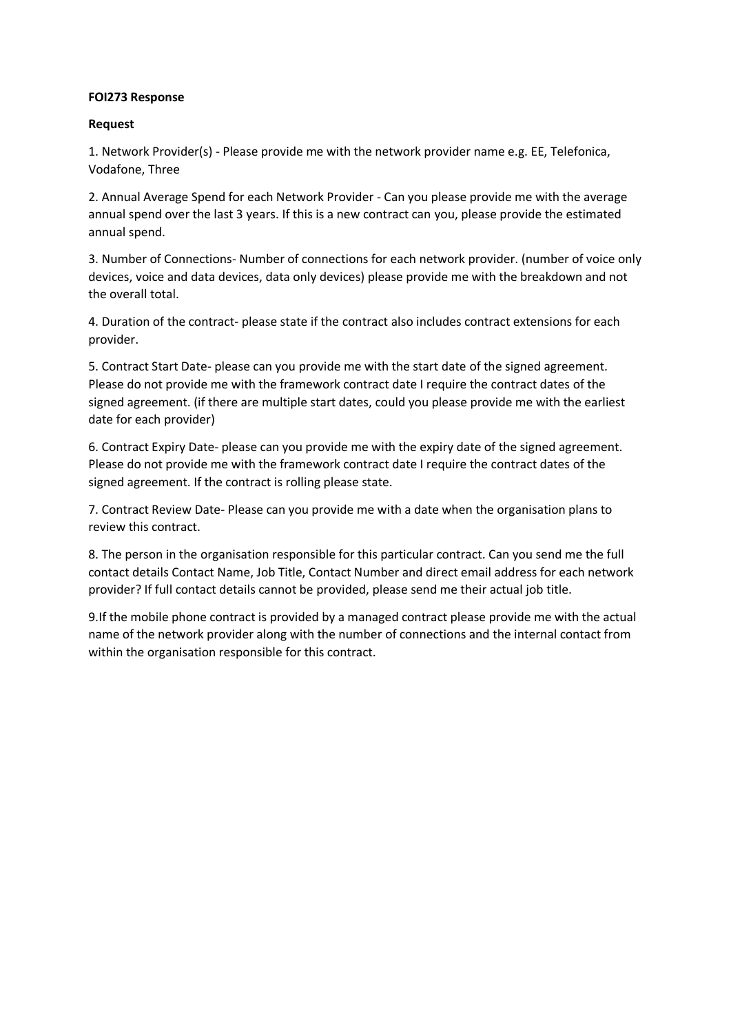## **FOI273 Response**

## **Request**

1. Network Provider(s) - Please provide me with the network provider name e.g. EE, Telefonica, Vodafone, Three

2. Annual Average Spend for each Network Provider - Can you please provide me with the average annual spend over the last 3 years. If this is a new contract can you, please provide the estimated annual spend.

3. Number of Connections- Number of connections for each network provider. (number of voice only devices, voice and data devices, data only devices) please provide me with the breakdown and not the overall total.

4. Duration of the contract- please state if the contract also includes contract extensions for each provider.

5. Contract Start Date- please can you provide me with the start date of the signed agreement. Please do not provide me with the framework contract date I require the contract dates of the signed agreement. (if there are multiple start dates, could you please provide me with the earliest date for each provider)

6. Contract Expiry Date- please can you provide me with the expiry date of the signed agreement. Please do not provide me with the framework contract date I require the contract dates of the signed agreement. If the contract is rolling please state.

7. Contract Review Date- Please can you provide me with a date when the organisation plans to review this contract.

8. The person in the organisation responsible for this particular contract. Can you send me the full contact details Contact Name, Job Title, Contact Number and direct email address for each network provider? If full contact details cannot be provided, please send me their actual job title.

9.If the mobile phone contract is provided by a managed contract please provide me with the actual name of the network provider along with the number of connections and the internal contact from within the organisation responsible for this contract.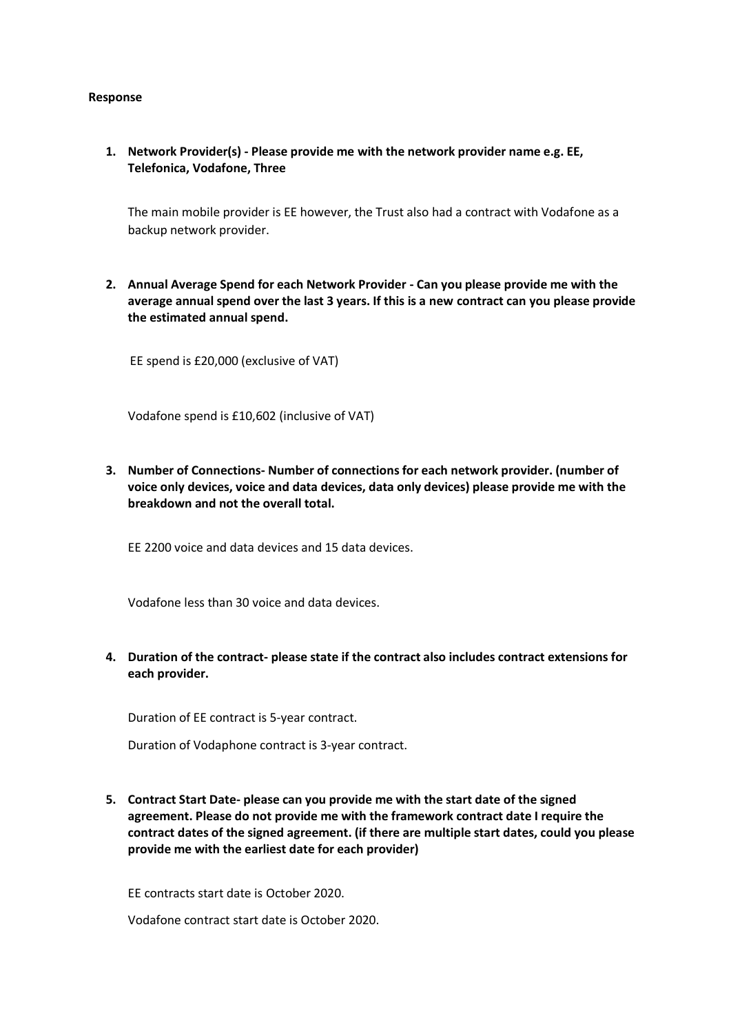## **Response**

**1. Network Provider(s) - Please provide me with the network provider name e.g. EE, Telefonica, Vodafone, Three**

The main mobile provider is EE however, the Trust also had a contract with Vodafone as a backup network provider.

**2. Annual Average Spend for each Network Provider - Can you please provide me with the average annual spend over the last 3 years. If this is a new contract can you please provide the estimated annual spend.**

EE spend is £20,000 (exclusive of VAT)

Vodafone spend is £10,602 (inclusive of VAT)

**3. Number of Connections- Number of connections for each network provider. (number of voice only devices, voice and data devices, data only devices) please provide me with the breakdown and not the overall total.**

EE 2200 voice and data devices and 15 data devices.

Vodafone less than 30 voice and data devices.

**4. Duration of the contract- please state if the contract also includes contract extensions for each provider.**

Duration of EE contract is 5-year contract.

Duration of Vodaphone contract is 3-year contract.

**5. Contract Start Date- please can you provide me with the start date of the signed agreement. Please do not provide me with the framework contract date I require the contract dates of the signed agreement. (if there are multiple start dates, could you please provide me with the earliest date for each provider)**

EE contracts start date is October 2020.

Vodafone contract start date is October 2020.